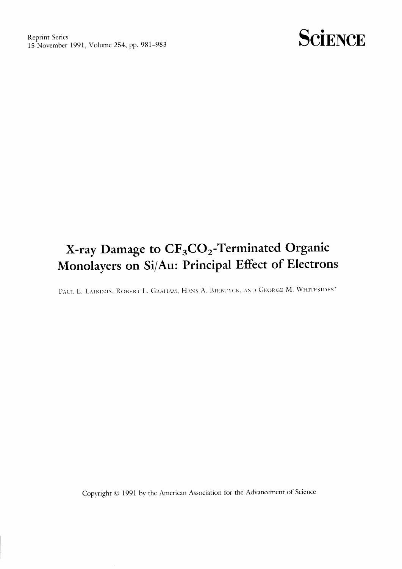

## X-ray Damage to CF<sub>3</sub>CO<sub>2</sub>-Terminated Organic Monolayers on Si/Au: Principal Effect of Electrons

PAUL E. LAIBINIS, ROBERT L. GRAHAM, HANS A. BIEBUYCK, AND GEORGE M. WHITESIDES\*

Copyright © 1991 by the American Association for the Advancement of Science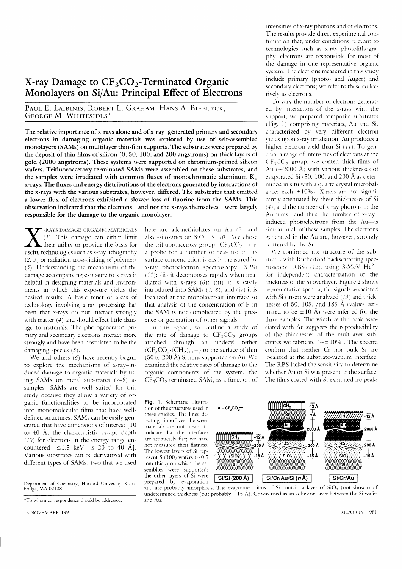## X-ray Damage to  $CF<sub>3</sub>CO<sub>2</sub>$ -Terminated Organic Monolayers on Si/Au: Principal Effect of Electrons

PAUL E. LAIBINIS, ROBERT L. GRAHAM, HANS A. BIEBUYCK, GEORGE M. WHITESIDES\*

The relative importance of x-rays alone and of x-ray-generated primary and secondary electrons in damaging organic materials was explored by use of self-assembled monolayers (SAMs) on multilayer thin-film supports. The substrates were prepared bv the deposit of thin films of silicon  $(0, 50, 100,$  and  $200$  angstroms) on thick lavers of gold (2000 angstroms). These systems were supported on chromium-primed silicon wafers. Trifluoroacetoxy-terminated SAMs were assembled on these substrates, and the samples were irradiated with common fluxes of monochromatic aluminum  $K_{\alpha}$ x-rays. The fluxes and energy distributions of the electrons generated by interactions of the x-rays with the various substrates, however, differed. The substrates that emitted a lower flux of electrons exhibited a slower loss of fluorine from the SAMs. This observation indicated that the electrons-and not the x-rays themselves-were largely responsible for the damage to the organic monolayer.

 $\bf V$ -RAYS DAMAGE ORGANIC MATERIALS  $(1)$ . This damage can either limit their utility or provide the basis for useful technologies such as x-ray lithography  $(2, 3)$  or radiation cross-linking of polymers  $(3)$ . Understanding the mechanisms of the damage accompanying exposure to x-ravs is helpful in designing materials and cnvironments in which this exposure vields the desired results. A basic tenet of arcas of technologv involving x-rav processing has been that x-rays do not interact strongly with matter  $(4)$  and should effect little damage to materials. The photogenerated primary and secondary electrons interact more strongly and have been postulated to be the damaging species (5).

We and others (6) have recently begun to explore the mechanisms of x-ray-induced damage to organic materials by using SAMs on metal substrates  $(7-9)$  as samples. SAMs are well suited for this studv because thev allow a varicty of organic functionalities to be incorporated into monomolecular films that have welldefined structures. SAMs can be easily generated that have dimensions of interest [10 to 40 A; the characteristic escape depth  $(10)$  for electrons in the energy range encountered— $\leq$ 1.5 keV—is 20 to 40 Å]. Various substrates can be derivatized w'ith different types of SAMs: two that we used

15 NOVEMBER 1991

here are alkanethiolates on Au  $(7)$  and alkvl-siloxanes on SiO,  $(9, 10)$ . We chose the trifluoroacetoxy group  $(CF<sub>3</sub>CO<sub>2</sub>)$ . a probe for a number of reasons:  $\vec{r}$  its surface concentration is easily measured by x-rav photoelectron spectroscopy (XPS)  $(11)$ ; (ii) it decomposes rapidly when irradiated with x-rays  $(6)$ ; (iii) it is easily introduced into SAMs  $(7, 8)$ ; and  $(iv)$  it is localized at the monolayer-air interface so that analvsis of the concentration of F in thc SAM is not complicatcd bv thc presence or generation of other signals.

In this report, we outline a study of the rate of damage to  $CF<sub>3</sub>CO<sub>2</sub>$  groups attached through an undecyl tether  $(CF<sub>3</sub>CO<sub>2</sub>-(CH<sub>2</sub>)<sub>11</sub>-)$  to the surface of thin  $(50 \text{ to } 200 \text{ Å})$  Si films supported on Au. We examined the relative rates of damagc to thc organic components of the svstem, the  $CF<sub>3</sub>CO<sub>2</sub>$ -terminated SAM, as a function of

Fig. 1. Schematic illustration of the structures used in these srudies. The lines dcnoting interfaces berween materials are not meant to indicate that the interfaces are atomically flat; we have not mcasurcd their flatncss. The lowest layers of Si represent Si $(100)$  wafers  $(-0.5)$ mm thick) on which the assemblies were supported; the other layers of Si were prepared by evaporation



intensities of x-ray photons and of electrons. The results provide direct experimental confirmation that, under conditions relevant to technologies such as x-rav photolithography, electrons are responsible for most of the damage in one representative organic svstem. The electrons measured in this study include primary (photo- and Auger) and secondary electrons; we refer to these collectively as electrons.

To vary the number of electrons generatcd bv interaction of the x-ravs u'ith the support, we prepared composite substratcs (Fig. l) comprising materials, Au and Si. characterized by very different electron vields upon x-ray irradiation. Au produces a higher electron vield than Si  $(11)$ . To generate a range of intensities of electrons at the  $CF<sub>3</sub>CO$ , group, we coated thick films of Au  $(-2000 \text{ Å})$  with various thicknesses of evaporated Si  $(50, 100,$  and 200 Å as determined in situ with a quartz crystal microbalance; each  $\pm 10\%$ ). X-ravs are not significantly attenuated by these thicknesses of Si (4), and the number of x-rav photons in the Au films-and thus the number of x-rayinduced photoelectrons from the Au-is similar in all of these samples. The electrons generated in the Au are, however, strongly scattered by the Si.

We confirmed the structure of the substrates with Rutherford backscattering spectroscopy (RBS)  $(12)$ , using 3-MeV He<sup>2+</sup> for independent characterization of the thickness of the Si overlayer. Figure 2 shows representative spectra; the signals associated with Si (inset) were analyzed  $(13)$  and thicknesses of 50, 105, and 185  $\AA$  (values estimated to be  $\pm 10$  Å) were inferred for the three samples. The width of the peak associated with Au suggests the reproducibility of the thicknesses of the multilaver substrates we fabricate  $(-\pm 10\%)$ . The spectra confirm that ncither Cr nor bulk Si arc localized at the substrate-vacuum interface. The RBS lacked the sensitivity to determine whether Au or Si was present at the surface. Thc films coated with Si exhibited no peaks

Department of Chemistry, Harvard University, Cambridge, MA 02138.

<sup>\*</sup>To whom correspondence should be addrcsscd.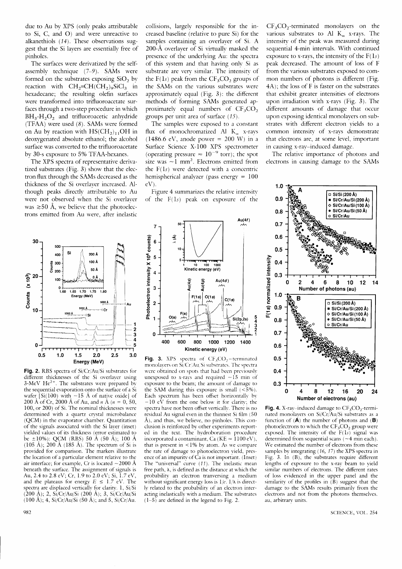due to Au by XPS (only peaks attributable to Si, C, and O) and were unreactive to alkanethiols  $(14)$ . These observations suggest that the Si lavers are essentially free of pinholes.

The surfaces were derivatized by the selfassemblv technique (7-9). SAMs were formed on the substrates exposing SiO, bv reaction with  $CH_2=CH(CH_2)_9SiCl_3$  in hexadecane; the resulting olefin surfaces were transformed into trifluoroacetate surfaces through a two-step procedure in which  $BH<sub>3</sub>·H<sub>2</sub>O<sub>2</sub>$  and trifluoroacetic anhydride (TFAA) were used (8). SAMs were formed on Au by reaction with  $HS(CH_2)_{11}OH$  in deoxygenated absolute ethanol; the alcohol surface was converted to the trifluoroacetate by 30-s exposure to 5% TFAA-hexanes.

The XPS spectra of representative derivatized substrates (Fig. 3) show that the electron flux through the SAMs decreased as the thickness of the Si overlaver increased. Although peaks directlv attributable to Au were not observed when the Si overlaver was  $\geq 50$  Å, we believe that the photoelectrons emitted from Au were. after inelastic

collisions, largelv responsible for the increased baseline (relative to pure Si) for the samples containing an overlaver of Si. A 200-Å overlayer of Si virtually masked the presencc of the underlving Au: the spectra of this svstem and that having onlv Si as substrate are very similar. The intensity of the  $F(1s)$  peak from the  $CF<sub>3</sub>CO<sub>2</sub>$  groups of the SAMs on the various substrates were approximately equal (Fig.  $3$ ): the different methods of forming SAMs generated approximately equal numbers of  $CF<sub>3</sub>CO<sub>2</sub>$ groups per unit area of surface (15).

The samples were exposed to a constant flux of monochromatized Al  $K_{\alpha}$  x-rays (1486.6 eV, anode power =  $200 \text{ W}$ ) in a Surface Science X-100 XPS spectrometer (operating pressure  $\approx 10^{-9}$  torr); the spot size was  $\sim$  1 mm<sup>2</sup>. Electrons emitted from the F(ls) werc detected with a concentric hemispherical analyzer (pass energy  $= 100$ eV)

Figure 4 summarizes the relative intensity of the  $F(1s)$  peak on exposure of the

30 50 Si 200 Å 400 100 Å ္တာ 300 ခိ දි<br>රි 200 50Å გ ∠ი<br>მ 100 x  $0 +$ <br>1.60 1.65 1.70 1.75 Counts<br>. Energy (MeV) 5000  $\overline{\phantom{a}}$ 5000 ⊣ Ci 5000 l S I  $-$  1  $\frac{2}{3}$  $\subset$ 5 0 0.5 1.0 1.5 2.0 2.5 3.0 Energy (MeV)

Fig. 2. RBS spectra of Si/Cr/Au/Si substrates for different thicknesses of the Si overlayer using 3-MeV He $2+$ . The substrates were prepared by the sequential evaporation onto the surface of a Si wafer  $[Si(100)$  with  $\sim 15$  Å of native oxide] of 200 Å of Cr, 2000 Å of Au, and n Å ( $n = 0, 50$ , 100, or 200) of Si. The nominal thicknesses were determined with a quartz crystal microbalance (QCM) in the evaporator chamber. Quantitation of the signals associated with the Si laver (inset) vielded values of its thickness (error estimated to be  $\pm 10\%$ ): QCM (RBS) 50 Å (50 Å); 100 Å (105 A); 200 A (185 A). The spectrum of Si is provided fbr comparison. The markers illustrate the location of a particular element relative to the air interface; for example, Cr is located  $\sim$ 2000 Å beneath the surfacc. The assignment of signals is Au, 2.4 to 2.8 eV; Cr, 1.9 to 2.0 eV; Si, I.7 eV, and the plateaus for energy  $E \leq 1.7$  eV. The spectra are displaced vertically for clarity. 1, Si/Si (200 Å); 2, Si/Cr/Au/Si (200 Å); 3, Si/Cr/Au/Si  $(100 \text{ Å})$ ; 4, Si/Cr/Au/Si (50 Å); and 5, Si/Cr/Au.



monolavers on Si/Cr/Au/Si substrates. The spectra were obtained on spots that had been previously unexposed to x-rays and required  $\sim$  15 min of exposure to thc beam; the amount of damagc to the SAM during this exposure is small  $(<5\%)$ . Each spectrum has been offset horizontally by  $-10$  eV from the one below it for clarity; the spectra have not been offset vertically. There is no residual Au signal even in the thinnest Si film (50 A). and thus, we believe, no pinholes. This conclusion is reinforced bv other experiments reported in the text. The hydroboration procedure incorporated a contaminant, Ca (KE  $\approx 1100 \text{ eV}$ ), that is present in  $<$ 1% by atom. As we compare the rate of damage to photoelectron vield, presence of an impurity of  $\dot{C}$ a is not important. (Inset) The "universal" curve (11). The inelastic mean free path,  $\lambda$ , is defined as the distance at which the probability an electron tranversing a medium without significant energy loss is  $1/e$ .  $1/\lambda$  is directly related to the probability of an electron interacting inelastically with a medium. The substrates (l-5) are defined in the legend to Fig. 2.

 $CF<sub>3</sub>CO<sub>2</sub>$ -terminated monolayers on the various substrates to Al  $K_{\alpha}$  x-rays. The intensiw of the peak was measured during sequential 4-min intervals. With continued exposure to x-rays, the intensity of the  $F(1s)$ peak decreased. The amount of loss of F from the various substrates exposed to common numbers of photons is different (Fig.  $4A$ ); the loss of F is faster on the substrates that exhibit greater intensities of electrons upon irradiation with x-rays (Fig. 3). The different amounts of damage that occur upon exposing identical monolavers on substrates with different electron vields to a common intensity of x-rays demonstrate that electrons arc, at some level, important in causing x-rav-induced damagc.

The relative importance of photons and electrons in causing damage to the SAMs



Fig. 4. X-ray-induced damage to  $CF<sub>3</sub>CO<sub>2</sub>$ -terminated monolavers on Si/Cr/Au/Si substrates as a function of  $(\mathbf{A})$  the number of photons and  $(\mathbf{B})$ photoelectrons to which the  $CF<sub>3</sub>CO<sub>2</sub>$  group were exposed. The intensity of the  $F(1s)$  signal was determined from sequential scans  $(-4 \text{ min each}).$ We estimated the number of electrons from these samples by integrating (16, 17) the XPS spectra in Fig. 3. In (B), the substrates require different lengths of exposure to the x-ray beam to yield similar numbers of electrons. The different rates of loss evidenced in the upper panel and the similarity of the profiles in  $(B)$  suggest that the damage to the SAMs results primarilv from the electrons and not from the photons themselves. au, arbitrary units.